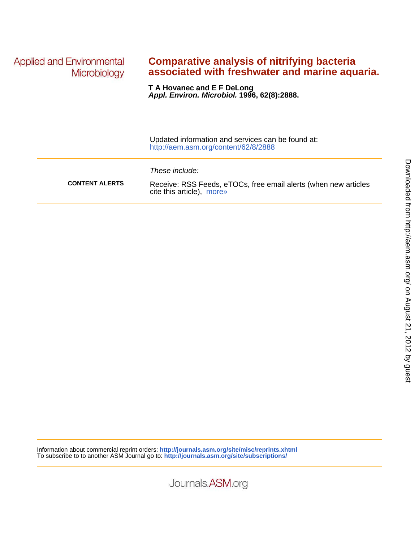**Applied and Environmental** Microbiology

## **associated with freshwater and marine aquaria. Comparative analysis of nitrifying bacteria**

**Appl. Environ. Microbiol. 1996, 62(8):2888. T A Hovanec and E F DeLong**

|                       | Updated information and services can be found at:<br>http://aem.asm.org/content/62/8/2888                      |
|-----------------------|----------------------------------------------------------------------------------------------------------------|
| <b>CONTENT ALERTS</b> | These include:<br>Receive: RSS Feeds, eTOCs, free email alerts (when new articles<br>cite this article), more» |

Journals.ASM.org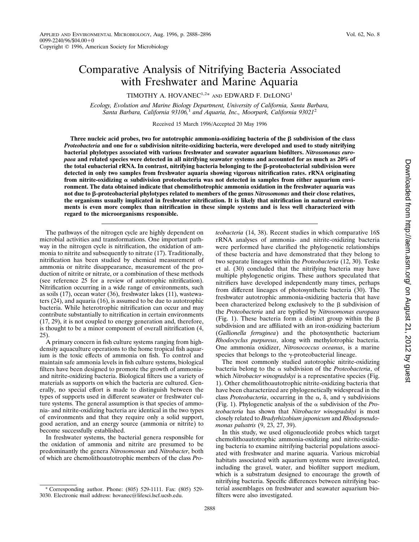# Comparative Analysis of Nitrifying Bacteria Associated with Freshwater and Marine Aquaria

TIMOTHY A. HOVANEC<sup>1,2\*</sup> AND EDWARD F. DELONG<sup>1</sup>

*Ecology, Evolution and Marine Biology Department, University of California, Santa Barbara, Santa Barbara, California 93106,*<sup>1</sup> *and Aquaria, Inc., Moorpark, California 93021*<sup>2</sup>

Received 15 March 1996/Accepted 20 May 1996

Three nucleic acid probes, two for autotrophic ammonia-oxidizing bacteria of the  $\beta$  subdivision of the class *Proteobacteria* **and one for** a **subdivision nitrite-oxidizing bacteria, were developed and used to study nitrifying bacterial phylotypes associated with various freshwater and seawater aquarium biofilters.** *Nitrosomonas europaea* **and related species were detected in all nitrifying seawater systems and accounted for as much as 20% of the total eubacterial rRNA. In contrast, nitrifying bacteria belonging to the** b**-proteobacterial subdivision were detected in only two samples from freshwater aquaria showing vigorous nitrification rates. rRNA originating** from nitrite-oxidizing  $\alpha$  subdivision proteobacteria was not detected in samples from either aquarium envi**ronment. The data obtained indicate that chemolithotrophic ammonia oxidation in the freshwater aquaria was not due to** b**-proteobacterial phylotypes related to members of the genus** *Nitrosomonas* **and their close relatives, the organisms usually implicated in freshwater nitrification. It is likely that nitrification in natural environments is even more complex than nitrification in these simple systems and is less well characterized with regard to the microorganisms responsible.**

The pathways of the nitrogen cycle are highly dependent on microbial activities and transformations. One important pathway in the nitrogen cycle is nitrification, the oxidation of ammonia to nitrite and subsequently to nitrate (17). Traditionally, nitrification has been studied by chemical measurement of ammonia or nitrite disappearance, measurement of the production of nitrite or nitrate, or a combination of these methods (see reference 25 for a review of autotrophic nitrification). Nitrification occurring in a wide range of environments, such as soils (17), ocean water (36), freshwater lakes (11), wastewaters (24), and aquaria (16), is assumed to be due to autotrophic bacteria. While heterotrophic nitrification can occur and may contribute substantially to nitrification in certain environments (17, 29), it is not coupled to energy generation and, therefore, is thought to be a minor component of overall nitrification (4, 25).

A primary concern in fish culture systems ranging from highdensity aquaculture operations to the home tropical fish aquarium is the toxic effects of ammonia on fish. To control and maintain safe ammonia levels in fish culture systems, biological filters have been designed to promote the growth of ammoniaand nitrite-oxidizing bacteria. Biological filters use a variety of materials as supports on which the bacteria are cultured. Generally, no special effort is made to distinguish between the types of supports used in different seawater or freshwater culture systems. The general assumption is that species of ammonia- and nitrite-oxidizing bacteria are identical in the two types of environments and that they require only a solid support, good aeration, and an energy source (ammonia or nitrite) to become successfully established.

In freshwater systems, the bacterial genera responsible for the oxidation of ammonia and nitrite are presumed to be predominantly the genera *Nitrosomonas* and *Nitrobacter*, both of which are chemolithoautotrophic members of the class *Pro-* *teobacteria* (14, 38). Recent studies in which comparative 16S rRNA analyses of ammonia- and nitrite-oxidizing bacteria were performed have clarified the phylogenetic relationships of these bacteria and have demonstrated that they belong to two separate lineages within the *Proteobacteria* (12, 30). Teske et al. (30) concluded that the nitrifying bacteria may have multiple phylogenetic origins. These authors speculated that nitrifiers have developed independently many times, perhaps from different lineages of photosynthetic bacteria (30). The freshwater autotrophic ammonia-oxidizing bacteria that have been characterized belong exclusively to the  $\beta$  subdivision of the *Proteobacteria* and are typified by *Nitrosomonas europaea* (Fig. 1). These bacteria form a distinct group within the  $\beta$ subdivision and are affiliated with an iron-oxidizing bacterium (*Gallionella ferruginea*) and the photosynthetic bacterium *Rhodocyclus purpureus*, along with methylotrophic bacteria. One ammonia oxidizer, *Nitrosococcus oceanus*, is a marine species that belongs to the  $\gamma$ -proteobacterial lineage.

The most commonly studied autotrophic nitrite-oxidizing bacteria belong to the  $\alpha$  subdivision of the *Proteobacteria*, of which *Nitrobacter winogradskyi* is a representative species (Fig. 1). Other chemolithoautotrophic nitrite-oxidizing bacteria that have been characterized are phylogenetically widespread in the class *Proteobacteria*, occurring in the  $\alpha$ ,  $\delta$ , and  $\gamma$  subdivisions (Fig. 1). Phylogenetic analysis of the  $\alpha$  subdivision of the *Proteobacteria* has shown that *Nitrobacter winogradskyi* is most closely related to *Bradyrhizobium japonicum* and *Rhodopseudomonas palustris* (9, 23, 27, 39).

In this study, we used oligonucleotide probes which target chemolithoautotrophic ammonia-oxidizing and nitrite-oxidizing bacteria to examine nitrifying bacterial populations associated with freshwater and marine aquaria. Various microbial habitats associated with aquarium systems were investigated, including the gravel, water, and biofilter support medium, which is a substratum designed to encourage the growth of nitrifying bacteria. Specific differences between nitrifying bacterial assemblages on freshwater and seawater aquarium biofilters were also investigated.

<sup>\*</sup> Corresponding author. Phone: (805) 529-1111. Fax: (805) 529- 3030. Electronic mail address: hovanec@lifesci.lscf.ucsb.edu.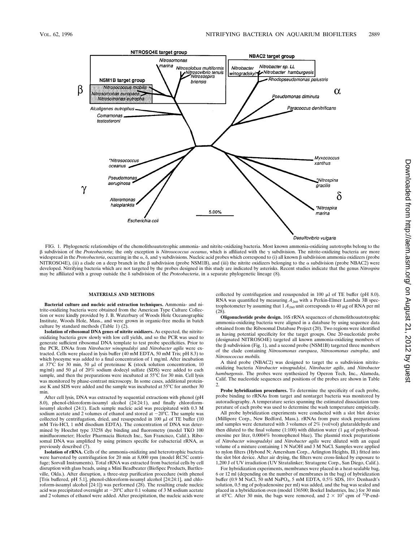

FIG. 1. Phylogenetic relationships of the chemolithoautotrophic ammonia- and nitrite-oxidizing bacteria. Most known ammonia-oxidizing autotrophs belong to the  $\beta$  subdivision of the *Proteobacteria*; the only exception is *Nitrosococcus oceanus*, which is affiliated with the  $\gamma$  subdivision. The nitrite-oxidizing bacteria are more widespread in the *Proteobacteria*, occurring in the  $\alpha$ ,  $\delta$ , and  $\gamma$  subdivisions. Nucleic acid probes which correspond to (i) all known  $\beta$  subdivision ammonia oxidizers (probe NITROSO4E), (ii) a clade on a deep branch in the  $\beta$  subdivision (probe NSM1B), and (iii) the nitrite oxidizers belonging to the  $\alpha$  subdivision (probe NBAC2) were developed. Nitrifying bacteria which are not targeted by the probes designed in this study are indicated by asterisks. Recent studies indicate that the genus *Nitrospira* may be affiliated with a group outside the  $\delta$  subdivision of the *Proteobacteria*, in a separate phylogenetic lineage (8).

## **MATERIALS AND METHODS**

**Bacterial culture and nucleic acid extraction techniques.** Ammonia- and nitrite-oxidizing bacteria were obtained from the American Type Culture Collection or were kindly provided by J. B. Waterbury of Woods Hole Oceanographic Institute, Woods Hole, Mass., and were grown in organic-free media in batch culture by standard methods (Table 1) (2).

**Isolation of ribosomal DNA genes of nitrite oxidizers.** As expected, the nitriteoxidizing bacteria grew slowly with low cell yields, and so the PCR was used to generate sufficient ribosomal DNA template to test probe specificities. Prior to the PCR, DNAs from *Nitrobacter winogradskyi* and *Nitrobacter agilis* were extracted. Cells were placed in lysis buffer (40 mM EDTA, 50 mM Tris; pH 8.3) to which lysozyme was added to a final concentration of 1 mg/ml. After incubation at  $37^{\circ}$ C for 30 min, 50 µl of proteinase K (stock solution concentration, 10 mg/ml) and 50  $\mu$ l of 20% sodium dodecyl sulfate (SDS) were added to each sample, and then the preparations were incubated at 55°C for 30 min. Cell lysis was monitored by phase-contrast microscopy. In some cases, additional proteinase K and SDS were added and the sample was incubated at 55°C for another 30 min.

After cell lysis, DNA was extracted by sequential extractions with phenol (pH 8.0), phenol-chloroform-isoamyl alcohol (24:24:1), and finally chloroformisoamyl alcohol (24:1). Each sample nucleic acid was precipitated with 0.3 M sodium acetate and 2 volumes of ethanol and stored at  $-20^{\circ}$ C. The sample was collected by centrifugation, dried, and resuspended in  $100 \mu l$  of TE buffer (10) mM Tris-HCl, 1 mM disodium EDTA). The concentration of DNA was determined by Hoechst type 33258 dye binding and fluorometry (model TKO 100 minifluorometer; Hoefer Pharmacia Biotech Inc., San Francisco, Calif.). Ribosomal DNA was amplified by using primers specific for eubacterial rRNA, as previously described (7).

**Isolation of rRNA.** Cells of the ammonia-oxidizing and heterotrophic bacteria were harvested by centrifugation for 20 min at 8,000 rpm (model RC5C centrifuge; Sorvall Instruments). Total rRNA was extracted from bacterial cells by cell disruption with glass beads, using a Mini Beadbeater (BioSpec Products, Bartlesville, Okla.). After disruption, a three-step purification procedure (with phenol [Tris buffered, pH 5.1], phenol-chloroform-isoamyl alcohol [24:24:1], and chloroform-isoamyl alcohol [24:1]) was performed (28). The resulting crude nucleic<br>acid was precipitated overnight at  $-20^{\circ}$ C after 0.1 volume of 3 M sodium acetate and 2 volumes of ethanol were added. After precipitation, the nucleic acids were collected by centrifugation and resuspended in 100  $\mu$ l of TE buffer (pH 8.0). RNA was quantified by measuring  $A_{260}$  with a Perkin-Elmer Lambda 3B spectrophotometer by assuming that  $1A_{260}$  unit corresponds to 40  $\mu$ g of RNA per ml (28).

**Oligonucleotide probe design.** 16S rRNA sequences of chemolithoautotrophic ammonia-oxidizing bacteria were aligned in a database by using sequence data obtained from the Ribosomal Database Project (20). Two regions were identified as having potential specificity for the target groups. One 20-nucleotide probe (designated NITROSO4E) targeted all known ammonia-oxidizing members of the  $\beta$  subdivision (Fig. 1), and a second probe (NSM1B) targeted three members of the clade containing *Nitrosomonas europaea*, *Nitrosomonas eutropha*, and *Nitrosococcus mobilis.*

A third probe (NBAC2) was designed to target the  $\alpha$  subdivision nitriteoxidizing bacteria *Nitrobacter winogradskyi*, *Nitrobacter agilis*, and *Nitrobacter hamburgensis*. The probes were synthesized by Operon Tech, Inc., Alameda, Calif. The nucleotide sequences and positions of the probes are shown in Table 2.

**Probe hybridization procedures.** To determine the specificity of each probe, probe binding to rRNAs from target and nontarget bacteria was monitored by autoradiography. A temperature series spanning the estimated dissociation temperature of each probe was used to determine the wash temperature empirically.

All probe hybridization experiments were conducted with a slot blot device (Millipore Corp., New Bedford, Mass.). rRNAs from pure stock preparations and samples were denatured with 3 volumes of 2% (vol/vol) glutaraldehyde and then diluted to the final volume (1:100) with dilution water (1  $\mu$ g of polyriboadenosine per liter, 0.0004% bromophenol blue). The plasmid stock preparations of *Nitrobacter winogradskyi* and *Nitrobacter agilis* were diluted with an equal volume of a mixture containing 1 N NaOH and 3 M NaCl. Samples were applied to nylon filters (Hybond N; Amersham Corp., Arlington Heights, Ill.) fitted into the slot blot device. After air drying, the filters were cross-linked by exposure to 1,200 J of UV irradiation (UV Stratalinker; Stratagene Corp., San Diego, Calif.).

For hybridization experiments, membranes were placed in a heat-sealable bag, 6 or 12 ml (depending on the number of membranes in the bag) of hybridization buffer (0.9 M NaCl, 50 mM NaPO<sub>4</sub>, 5 mM EDTA, 0.5% SDS, 10× Denhardt's solution, 0.5 mg of polyadenosine per ml) was added, and the bag was sealed and placed in a hybridization oven (model 136500; Boekel Industries, Inc.) for 30 min at 45°C. After 30 min, the bags were removed, and  $2 \times 10^7$  cpm of <sup>32</sup>P-end-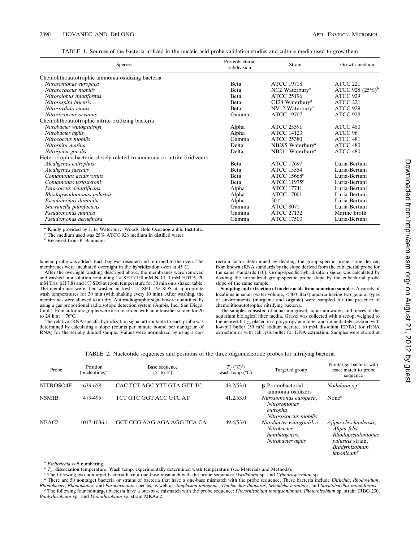| TABLE 1. Sources of the bacteria utilized in the nucleic acid probe validation studies and culture media used to grow them |  |  |
|----------------------------------------------------------------------------------------------------------------------------|--|--|
|----------------------------------------------------------------------------------------------------------------------------|--|--|

| Species                                                                 | Proteobacterial<br>subdivision | Strain                       | Growth medium       |
|-------------------------------------------------------------------------|--------------------------------|------------------------------|---------------------|
| Chemolithoautotrophic ammonia-oxidizing bacteria                        |                                |                              |                     |
| Nitrosomonas europaea                                                   | Beta                           | <b>ATCC 19718</b>            | <b>ATCC 221</b>     |
| Nitrosococcus mobilis                                                   | <b>B</b> eta                   | NC2 Waterbury <sup>a</sup>   | ATCC 928 $(25\%)^b$ |
| Nitrosolobus multiformis                                                | <b>B</b> eta                   | <b>ATCC 25196</b>            | <b>ATCC 929</b>     |
| Nitrosospira briensis                                                   | <b>B</b> eta                   | C128 Waterbury <sup>a</sup>  | ATCC 221            |
| Nitrosovibrio tenuis                                                    | <b>B</b> eta                   | NV12 Waterbury <sup>a</sup>  | ATCC 929            |
| Nitrosococcus oceanus                                                   | Gamma                          | <b>ATCC 19707</b>            | ATCC 928            |
| Chemolithoautotrophic nitrite-oxidizing bacteria                        |                                |                              |                     |
| Nitrobacter winogradskyi                                                | Alpha                          | <b>ATCC 25391</b>            | ATCC 480            |
| Nitrobacter agilis                                                      | Alpha                          | <b>ATCC 14123</b>            | ATCC 96             |
| Nitrococcus mobilis                                                     | Gamma                          | <b>ATCC 25380</b>            | ATCC 481            |
| Nitrospira marina                                                       | Delta                          | NB295 Waterbury <sup>a</sup> | ATCC 480            |
| Nitrospina gracilis                                                     | Delta                          | NB211 Waterbury <sup>a</sup> | ATCC 480            |
| Heterotrophic bacteria closely related to ammonia or nitrite oxidizeers |                                |                              |                     |
| Alcaligenes eutrophus                                                   | Beta                           | <b>ATCC 17697</b>            | Luria-Bertani       |
| Alcaligenes faecalis                                                    | Beta                           | <b>ATCC 15554</b>            | Luria-Bertani       |
| Comamonas acidovorans                                                   | <b>B</b> eta                   | ATCC 15668 <sup>c</sup>      | Luria-Bertani       |
| Comamonas testosteroni                                                  | Beta                           | ATCC $11975^c$               | Luria-Bertani       |
| Paracoccus denitrificans                                                | Alpha                          | <b>ATCC 17741</b>            | Luria-Bertani       |
| Rhodopseudomonas palustris                                              | Alpha                          | <b>ATCC 17001</b>            | Luria-Bertani       |
| Pseudomonas diminuta                                                    | Alpha                          | 501 <sup>c</sup>             | Luria-Bertani       |
| Shewanella putrefaciens                                                 | Gamma                          | <b>ATCC 8071</b>             | Luria-Bertani       |
| Pseudomonas nautica                                                     | Gamma                          | <b>ATCC 27132</b>            | Marine broth        |
| Pseudomonas aeruginosa                                                  | Gamma                          | <b>ATCC 17503</b>            | Luria-Bertani       |

*<sup>a</sup>* Kindly provided by J. B. Waterbury, Woods Hole Oceanographic Institute. *<sup>b</sup>* The medium used was 25% ATCC 928 medium in distilled water.

*<sup>c</sup>* Received from P. Baumann.

labeled probe was added. Each bag was resealed and returned to the oven. The membranes were incubated overnight in the hybridization oven at 45°C.

After the overnight washing described above, the membranes were removed and washed in a solution containing  $1 \times$  SET (150 mM NaCl, 1 mM EDTA, 20 mM Tris; pH 7.8) and 1% SDS at room temperature for 30 min on a shaker table. The membranes were then washed in fresh  $1 \times$  SET–1% SDS at appropriate wash temperatures for 30 min (with shaking every 10 min). After washing, the membranes were allowed to air dry. Autoradiographic signals were quantified by using a gas proportional radioisotope detection system (Ambis, Inc., San Diego, Calif.). Film autoradiographs were also recorded with an intensifier screen for 20 to 24 h at  $-76^{\circ}$ C.

The relative rRNA-specific hybridization signal attributable to each probe was determined by calculating a slope (counts per minute bound per nanogram of RNA) for the serially diluted sample. Values were normalized by using a cor-

rection factor determined by dividing the group-specific probe slope derived from known rRNA standards by the slope derived from the eubacterial probe for the same standards (10). Group-specific hybridization signal was calculated by dividing the normalized group-specific probe slope by the eubacterial probe slope of the same sample.

**Sampling and extraction of nucleic acids from aquarium samples.** A variety of locations in small (water volume, <400 liters) aquaria having two general types of environments (inorganic and organic) were sampled for the presence of chemolithoautotrophic nitrifying bacteria.

The samples consisted of aquarium gravel, aquarium water, and pieces of the aquarium biological filter media. Gravel was collected with a scoop, weighed to the nearest 0.1 g, placed in a polypropylene tube, and immediately covered with low-pH buffer (50 mM sodium acetate, 10 mM disodium EDTA) for rRNA extraction or with cell lysis buffer for DNA extraction. Samples were stored at

| TABLE 2. Nucleotide sequences and positions of the three oligonucleotide probes for nitrifying bacteria |  |  |  |
|---------------------------------------------------------------------------------------------------------|--|--|--|
|                                                                                                         |  |  |  |

| Probe              | Position<br>(nucleotides) <sup>a</sup> | Base sequence<br>$(5'$ to $3')$ | $T_d$ (°C) <sup>b</sup> /<br>wash temp $(^{\circ}C)$ | Targeted group                                                                  | Nontarget bacteria with<br>exact match to probe<br>sequence                                                                         |
|--------------------|----------------------------------------|---------------------------------|------------------------------------------------------|---------------------------------------------------------------------------------|-------------------------------------------------------------------------------------------------------------------------------------|
| NITROSO4E          | 639-658                                | CAC TCT AGC YTT GTA GTT TC      | 43.2/53.0                                            | β-Proteobacterial<br>ammonia oxidizers                                          | Nodularia sp. <sup>c</sup>                                                                                                          |
| NSM <sub>1</sub> B | 479-495                                | TCT GTC GGT ACC GTC AT          | 41.2/53.0                                            | Nitrosomonas europaea,<br>Nitrosomonas<br>eutropha,<br>Nitrosococcus mobilis    | None <sup><math>d</math></sup>                                                                                                      |
| NBAC <sub>2</sub>  | 1017-1036.1                            | GCT CCG AAG AGA AGG TCA CA      | 49.4/53.0                                            | Nitrobacter winogradskyi,<br>Nitrobacter<br>hamburgensis,<br>Nitrobacter agilis | Afipia clevelandensis,<br>Afipia felis,<br>Rhodopseudomonas<br><i>palustris</i> strain,<br>Bradyrhizobium<br>japonicum <sup>e</sup> |

<sup>&</sup>lt;sup>a</sup> Escherichia coli numbering.<br><sup>b</sup>  $T_a$ , dissociation temperature. Wash temp, experimentally determined wash temperature (see Materials and Methods).<br><sup>b</sup>  $T_a$ , dissociation temperature bacteria have a one-base mismatch w The following four nontarget bacteria have a one-base mismatch with the probe sequence: Photorhizobium thompsonianum, Photorhizobium sp. strain IRBG 230, *Bradyrhizobium* sp., and *Photorhizobium* sp. strain MKAa 2.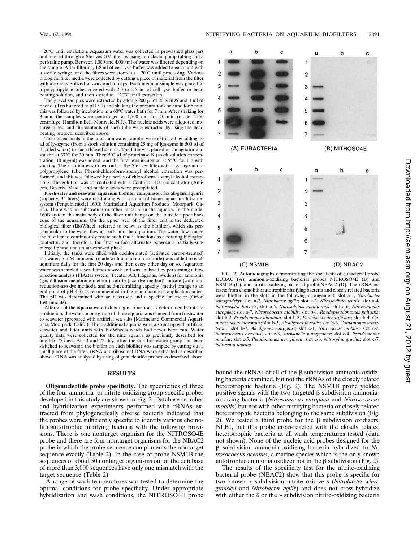$-20^{\circ}$ C until extraction. Aquarium water was collected in prewashed glass jars and filtered through a Sterivex GV filter by using autoclaved pump tubing and a peristaltic pump. Between 1,000 and 4,000 ml of water was filtered depending on the sample. After filtering, 1.8 ml of cell lysis buffer was added to each unit with a sterile syringe, and the filters were stored at  $-20^{\circ}$ C until processing. Various biological filter media were collected by cutting a piece of material from the filter with alcohol-sterilized scissors and forceps. Each medium sample was placed in a polypropylene tube, covered with  $2.0$  to  $2.5$  ml of cell lysis buffer or bead beating solution, and then stored at  $-20^{\circ}$ C until extraction.

The gravel samples were extracted by adding 200  $\mu l$  of 20% SDS and 3 ml of phenol (Tris buffered to pH 5.1) and shaking the preparations by hand for 5 min; this was followed by incubation in a 60°C water bath for 7 min. After shaking for 3 min, the samples were centrifuged at 1,500 rpm for 10 min (model 1550 centrifuge; Hamilton Bell, Montvale, N.J.). The nucleic acids were aliquoted into three tubes, and the contents of each tube were extracted by using the bead beating protocol described above.

The nucleic acids in the aquarium water samples were extracted by adding 40  $\mu$ l of lysozyme (from a stock solution containing 25 mg of lysozyme in 500  $\mu$ l of distilled water) to each thawed sample. The filter was placed on an agitator and shaken at 37 $\rm\degree C$  for 30 min. Then 500  $\mu$ l of proteinase K (stock solution concentration, 10 mg/ml) was added, and the filter was incubated at  $55^{\circ}$ C for 1 h with shaking. The solution was drawn out of the Sterivex filter with a syringe into a polypropylene tube. Phenol-chloroform-isoamyl alcohol extraction was performed, and this was followed by a series of chloroform-isoamyl alcohol extractions. The solution was concentrated with a Centricon 100 concentrator (Amicon, Beverly, Mass.), and nucleic acids were precipitated.

**Freshwater and seawater aquarium biofilter comparison.** Six all-glass aquaria (capacity, 34 liters) were used along with a standard home aquarium filtration system (Penguin model 160B; Marineland Aquarium Products, Moorpark, Calif.). There was no substratum or other material in the aquaria. In the model 160B system the main body of the filter unit hangs on the outside upper back edge of the aquarium. On the upper weir of the filter unit is the dedicated biological filter (BioWheel; referred to below as the biofilter), which sits perpendicular to the water flowing back into the aquarium. The water flow causes the biofilter to continuously rotate such that it functions as a rotating biological contactor, and, therefore, the filter surface alternates between a partially submerged phase and an air-exposed phase.

Initially, the tanks were filled with dechlorinated (activated carbon-treated) tap water; 5 mM ammonia (made with ammonium chloride) was added to each aquarium daily for the first 20 days and then every other day or so. Aquarium water was sampled several times a week and was analyzed by performing a flow injection analysis (FIAstar system; Tecator AB, Höganäs, Sweden) for ammonia (gas diffusion membrane method), nitrite (azo dye method), nitrate (cadmium reduction-azo dye method), and acid-neutralizing capacity (methyl orange to an end point of pH 4.5) as recommended in the manufacturer's application notes. The pH was determined with an electrode and a specific ion meter (Orion Instruments).

After all of the aquaria were exhibiting nitrification, as determined by nitrate production, the water in one group of three aquaria was changed from freshwater to seawater (prepared with artificial sea salts [Marineland Commercial Aquariums, Moorpark, Calif.]). Three additional aquaria were also set up with artificial seawater and filter units with BioWheels which had never been run. Water quality data were collected for the nine aquaria as previously described for another 75 days. At 43 and 72 days after the one freshwater group had been switched to seawater, the biofilm on each biofilter was sampled by cutting out a small piece of the filter. rRNA and ribosomal DNA were extracted as described above. rRNA was analyzed by using oligonucleotide probes as described above.

#### **RESULTS**

**Oligonucleotide probe specificity.** The specificities of three of the four ammonia- or nitrite-oxidizing group-specific probes developed in this study are shown in Fig. 2. Database searches and hybridization experiments performed with rRNAs extracted from phylogenetically diverse bacteria indicated that the probes were sufficiently specific to identify various chemolithoautotrophic nitrifying bacteria with the following provisions. There is one nontarget organism for the NITROSO4E probe and there are four nontarget organisms for the NBAC2 probe in which the probe sequence compliments the nontarget sequence exactly (Table 2). In the case of probe NSM1B the sequences of about 50 nontarget organisms out of the database of more than 3,000 sequences have only one mismatch with the target sequence (Table 2).

A range of wash temperatures was tested to determine the optimal conditions for probe specificity. Under appropriate hybridization and wash conditions, the NITROSO4E probe



FIG. 2. Autoradiographs demonstrating the specificity of eubacterial probe EUBAC (A), ammonia-oxidizing bacterial probes NITROSO4E (B) and NSM1B (C), and nitrite-oxidizing bacterial probe NBAC2 (D). The rRNA extracts from chemolithoautotrophic nitrifying bacteria and closely related bacteria were blotted in the slots in the following arrangement: slot a-1, *Nitrobacter winogradskyi*; slot a-2, *Nitrobacter agilis*; slot a-3, *Nitrosovibrio tenuis*; slot a-4, *Nitrosospira briensis*; slot a-5, *Nitrosolobus multiformis*; slot a-6, *Nitrosomonas europaea*; slot a-7, *Nitrosococcus mobilis*; slot b-1, *Rhodopseudomonas palustris*; slot b-2, *Pseudomonas diminuta*; slot b-3, *Paracoccus denitrificans*; slot b-4, *Comamonas acidovorans*; slot b-5, *Alcaligenes faecalis*; slot b-6, *Comamonas testosteroni*; slot b-7, *Alcaligenes eutrophus*; slot c-1, *Nitrococcus mobilis*; slot c-2, *Nitrosococcus oceanus*; slot c-3, *Shewanella putrefaciens*; slot c-4, *Pseudomonas nautica*; slot c-5, *Pseudomonas aeruginosa*; slot c-6, *Nitrospina gracilis*; slot c-7, *Nitrospira marina*.

bound the rRNAs of all of the  $\beta$  subdivision ammonia-oxidizing bacteria examined, but not the rRNAs of the closely related heterotrophic bacteria (Fig. 2). The NSM1B probe yielded positive signals with the two targeted  $\beta$  subdivision ammoniaoxidizing bacteria (*Nitrosomonas europaea* and *Nitrosococcus mobilis*) but not with other nitrifying bacteria or closely related heterotrophic bacteria belonging to the same subdivision (Fig. 2). We tested a third probe for the  $\beta$  subdivision oxidizers, NLB1, but this probe cross-reacted with the closely related heterotrophic bacteria at all wash temperatures tested (data not shown). None of the nucleic acid probes designed for the b subdivision ammonia-oxidizing bacteria hybridized to *Nitrosococcus oceanus*, a marine species which is the only known autotrophic ammonia oxidizer not in the  $\beta$  subdivision (Fig. 2).

The results of the specificity test for the nitrite-oxidizing bacterial probe (NBAC2) show that this probe is specific for two known a subdivision nitrite oxidizers (*Nitrobacter winogradskyi* and *Nitrobacter agilis*) and does not cross-hybridize with either the  $\delta$  or the  $\gamma$  subdivision nitrite-oxidizing bacteria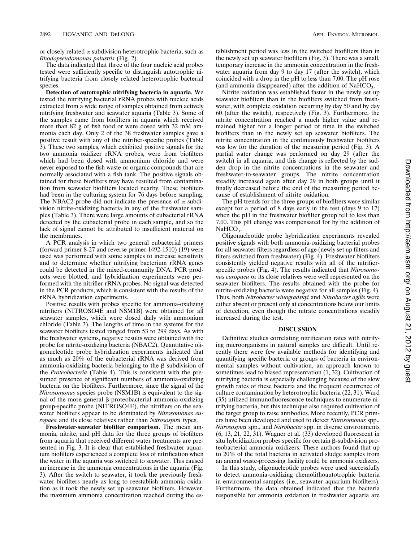or closely related  $\alpha$  subdivision heterotrophic bacteria, such as *Rhodopseudomonas palustris* (Fig. 2).

The data indicated that three of the four nucleic acid probes tested were sufficiently specific to distinguish autotrophic nitrifying bacteria from closely related heterotrophic bacterial species.

**Detection of autotrophic nitrifying bacteria in aquaria.** We tested the nitrifying bacterial rRNA probes with nucleic acids extracted from a wide range of samples obtained from actively nitrifying freshwater and seawater aquaria (Table 3). Some of the samples came from biofilters in aquaria which received more than 82 g of fish food or were dosed with 32 mM ammonia each day. Only 2 of the 38 freshwater samples gave a positive result with any of the nitrifier-specific probes (Table 3). These two samples, which exhibited positive signals for the two ammonia oxidizer rRNA probes, were from biofilters which had been dosed with ammonium chloride and were never exposed to the fish waste or organic compounds that are normally associated with a fish tank. The positive signals obtained for these biofilters may have resulted from contamination from seawater biofilters located nearby. These biofilters had been in the culturing system for 76 days before sampling. The NBAC2 probe did not indicate the presence of  $\alpha$  subdivision nitrite-oxidizing bacteria in any of the freshwater samples (Table 3). There were large amounts of eubacterial rRNA detected by the eubacterial probe in each sample, and so the lack of signal cannot be attributed to insufficient material on the membranes.

A PCR analysis in which two general eubacterial primers (forward primer 8-27 and reverse primer 1492-1510) (19) were used was performed with some samples to increase sensitivity and to determine whether nitrifying bacterium rRNA genes could be detected in the mixed-community DNA. PCR products were blotted, and hybridization experiments were performed with the nitrifier rRNA probes. No signal was detected in the PCR products, which is consistent with the results of the rRNA hybridization experiments.

Positive results with probes specific for ammonia-oxidizing nitrifiers (NITROSO4E and NSM1B) were obtained for all seawater samples, which were dosed daily with ammonium chloride (Table 3). The lengths of time in the systems for the seawater biofilters tested ranged from 53 to 299 days. As with the freshwater systems, negative results were obtained with the probe for nitrite-oxidizing bacteria (NBAC2). Quantitative oligonucleotide probe hybridization experiments indicated that as much as 20% of the eubacterial rRNA was derived from ammonia-oxidizing bacteria belonging to the  $\beta$  subdivision of the *Proteobacteria* (Table 4). This is consistent with the presumed presence of significant numbers of ammonia-oxidizing bacteria on the biofilters. Furthermore, since the signal of the *Nitrosomonas* species probe (NSM1B) is equivalent to the signal of the more general  $\beta$ -proteobacterial ammonia-oxidizing group-specific probe (NITROSO4E), the nitrifiers on the seawater biofilters appear to be dominated by *Nitrosomonas europaea* and its close relatives rather than *Nitrosospira* types.

**Freshwater-seawater biofilter comparison.** The mean ammonia, nitrite, and pH data for the three groups of biofilters from aquaria that received different water treatments are presented in Fig. 3. It is clear that established freshwater aquarium biofilters experienced a complete loss of nitrification when the water in the aquaria was switched to seawater. This caused an increase in the ammonia concentrations in the aquaria (Fig. 3). After the switch to seawater, it took the previously freshwater biofilters nearly as long to reestablish ammonia oxidation as it took the newly set up seawater biofilters. However, the maximum ammonia concentration reached during the establishment period was less in the switched biofilters than in the newly set up seawater biofilters (Fig. 3). There was a small, temporary increase in the ammonia concentration in the freshwater aquaria from day 9 to day 17 (after the switch), which coincided with a drop in the pH to less than 7.00. The pH rose (and ammonia disappeared) after the addition of  $NaHCO<sub>3</sub>$ .

Nitrite oxidation was established faster in the newly set up seawater biofilters than in the biofilters switched from freshwater, with complete oxidation occurring by day 50 and by day 60 (after the switch), respectively (Fig. 3). Furthermore, the nitrite concentration reached a much higher value and remained higher for a longer period of time in the switched biofilters than in the newly set up seawater biofilters. The nitrite concentration in the continuously freshwater biofilters was low for the duration of the measuring period (Fig. 3). A partial water change was performed on day 29 (after the switch) in all aquaria, and this change is reflected by the sudden drop in the nitrite concentrations in the seawater and freshwater-to-seawater groups. The nitrite concentration steadily increased again after day 29 in both groups until it finally decreased before the end of the measuring period because of establishment of nitrite oxidation.

The pH trends for the three groups of biofilters were similar except for a period of 8 days early in the test (days 9 to 17) when the pH in the freshwater biofilter group fell to less than 7.00. This pH change was compensated for by the addition of  $NaHCO<sub>3</sub>$ .

Oligonucleotide probe hybridization experiments revealed positive signals with both ammonia-oxidizing bacterial probes for all seawater filters regardless of age (newly set up filters and filters switched from freshwater) (Fig. 4). Freshwater biofilters consistently yielded negative results with all of the nitrifierspecific probes (Fig. 4). The results indicated that *Nitrosomonas europaea* or its close relatives were well represented on the seawater biofilters. The results obtained with the probe for nitrite-oxidizing bacteria were negative for all samples (Fig. 4). Thus, both *Nitrobacter winogradskyi* and *Nitrobacter agilis* were either absent or present only at concentrations below our limits of detection, even though the nitrate concentrations steadily increased during the test.

#### **DISCUSSION**

Definitive studies correlating nitrification rates with nitrifying microorganisms in natural samples are difficult. Until recently there were few available methods for identifying and quantifying specific bacteria or groups of bacteria in environmental samples without cultivation, an approach known to sometimes lead to biased representation (1, 32). Cultivation of nitrifying bacteria is especially challenging because of the slow growth rates of these bacteria and the frequent occurrence of culture contamination by heterotrophic bacteria (22, 31). Ward (35) utilized immunofluorescence techniques to enumerate nitrifying bacteria, but this technique also required cultivation of the target group to raise antibodies. More recently, PCR primers have been developed and used to detect *Nitrosomonas* spp., *Nitrosospira* spp., and *Nitrobacter* spp. in diverse environments (6, 13, 21, 22, 31). Wagner et al. (33) developed fluorescent in situ hybridization probes specific for certain  $\beta$ -subdivision proteobacterial ammonia oxidizers. These authors found that up to 20% of the total bacteria in activated sludge samples from an animal waste-processing facility could be ammonia oxidizers.

In this study, oligonucleotide probes were used successfully to detect ammonia-oxidizing chemolithoautotrophic bacteria in environmental samples (i.e., seawater aquarium biofilters). Furthermore, the data obtained indicated that the bacteria responsible for ammonia oxidation in freshwater aquaria are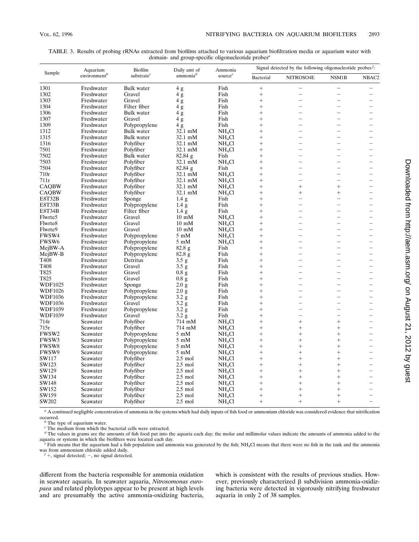| TABLE 3. Results of probing rRNAs extracted from biofilms attached to various aguarium biofiltration media or aguarium water with |
|-----------------------------------------------------------------------------------------------------------------------------------|
| domain- and group-specific oligonucleotide probes <sup>a</sup>                                                                    |

| Aquarium<br>Sample<br>environment <sup>b</sup> |                        | Biofilm           | Daily amt of      | Ammonia            | Signal detected by the following oligonucleotide probes <sup><math>f</math></sup> : |                          |                          |                          |
|------------------------------------------------|------------------------|-------------------|-------------------|--------------------|-------------------------------------------------------------------------------------|--------------------------|--------------------------|--------------------------|
|                                                | substrate <sup>c</sup> | ammonia $d$       | sourcee           | Bacterial          | NITROSO4E                                                                           | NSM1B                    | NBAC2                    |                          |
| 1301                                           | Freshwater             | Bulk water        | 4g                | Fish               | $\! + \!$                                                                           | $\overline{\phantom{0}}$ | $\overline{\phantom{0}}$ |                          |
| 1302                                           | Freshwater             | Gravel            | 4g                | Fish               | $^{+}$                                                                              | $\overline{\phantom{0}}$ | L,                       |                          |
| 1303                                           | Freshwater             | Gravel            | 4g                | Fish               | $^{+}$                                                                              | $\overline{\phantom{0}}$ |                          |                          |
| 1304                                           | Freshwater             | Filter fiber      | 4g                | Fish               | $^{+}$                                                                              | $\overline{\phantom{a}}$ | ۳                        |                          |
| 1306                                           | Freshwater             | <b>Bulk</b> water | 4 g               | Fish               | $^{+}$                                                                              |                          | $\overline{\phantom{0}}$ |                          |
| 1307                                           | Freshwater             | Gravel            | 4g                | Fish               | $^{+}$                                                                              |                          | $\overline{\phantom{0}}$ |                          |
| 1309                                           | Freshwater             | Polypropylene     | 4 g               | Fish               | $^{+}$                                                                              |                          | $\overline{\phantom{0}}$ |                          |
| 1312                                           | Freshwater             | <b>Bulk</b> water | 32.1 mM           | NH <sub>4</sub> Cl | $^{+}$                                                                              |                          | $\overline{\phantom{0}}$ |                          |
| 1315                                           | Freshwater             | Bulk water        | 32.1 mM           | NH <sub>4</sub> Cl | $^{+}$                                                                              |                          | $\overline{\phantom{0}}$ |                          |
| 1316                                           | Freshwater             | Polyfiber         | 32.1 mM           | NH <sub>4</sub> Cl | $^{+}$                                                                              | $\overline{\phantom{a}}$ | $\overline{\phantom{0}}$ |                          |
| 7501                                           | Freshwater             | Polyfiber         | 32.1 mM           | NH <sub>4</sub> Cl | $^{+}$                                                                              |                          |                          |                          |
| 7502                                           | Freshwater             | <b>Bulk</b> water | 82.84 g           | Fish               | $^{+}$                                                                              | $\overline{\phantom{0}}$ | $\overline{\phantom{0}}$ |                          |
| 7503                                           | Freshwater             | Polyfiber         | 32.1 mM           | NH <sub>4</sub> Cl | $^{+}$                                                                              |                          |                          |                          |
| 7504                                           | Freshwater             | Polyfiber         | 82.84 g           | Fish               | $^{+}$                                                                              |                          |                          |                          |
| 710r                                           | Freshwater             | Polyfiber         | 32.1 mM           | NH <sub>4</sub> Cl | $^{+}$                                                                              |                          | $\overline{\phantom{0}}$ |                          |
| 711r                                           | Freshwater             | Polyfiber         | 32.1 mM           |                    | $^{+}$                                                                              | $\overline{\phantom{0}}$ | $\overline{\phantom{0}}$ |                          |
|                                                |                        |                   | 32.1 mM           | NH <sub>4</sub> Cl | $^{+}$                                                                              | $\ddot{}$                | $^{+}$                   |                          |
| <b>CAOBW</b>                                   | Freshwater             | Polyfiber         |                   | NH <sub>4</sub> Cl |                                                                                     |                          |                          |                          |
| <b>CAQBW</b>                                   | Freshwater             | Polyfiber         | 32.1 mM           | NH <sub>4</sub> Cl | $^{+}$                                                                              | $^{+}$                   | $^{+}$                   |                          |
| <b>E8T32B</b>                                  | Freshwater             | Sponge            | 1.4 <sub>g</sub>  | Fish               | $^{+}$                                                                              | $\overline{\phantom{0}}$ | $\overline{\phantom{0}}$ |                          |
| E8T33B                                         | Freshwater             | Polypropylene     | 1.4 <sub>g</sub>  | Fish               | $^{+}$                                                                              | $\overline{\phantom{a}}$ | $\overline{\phantom{0}}$ |                          |
| <b>E8T34B</b>                                  | Freshwater             | Filter fiber      | 1.4 <sub>g</sub>  | Fish               | $^{+}$                                                                              | $\overline{\phantom{0}}$ | $\overline{\phantom{0}}$ |                          |
| Flwrte5                                        | Freshwater             | Gravel            | $10 \text{ mM}$   | NH <sub>4</sub> Cl | $^{+}$                                                                              | $\overline{\phantom{0}}$ | ۳                        |                          |
| Flwrte8                                        | Freshwater             | Gravel            | $10 \text{ mM}$   | NH <sub>4</sub> Cl | $^{+}$                                                                              |                          |                          |                          |
| Flwrte9                                        | Freshwater             | Gravel            | $10 \text{ mM}$   | NH <sub>4</sub> Cl | $^{+}$                                                                              | $\overline{\phantom{0}}$ | $\overline{\phantom{0}}$ |                          |
| FWSW4                                          | Freshwater             | Polypropylene     | $5 \text{ mM}$    | NH <sub>4</sub> Cl | $^{+}$                                                                              | $\overline{\phantom{a}}$ | $\overline{\phantom{0}}$ |                          |
| FWSW6                                          | Freshwater             | Polypropylene     | $5 \text{ mM}$    | NH <sub>4</sub> Cl | $^{+}$                                                                              |                          | $\overline{\phantom{0}}$ |                          |
| MejBW-A                                        | Freshwater             | Polypropylene     | 82.8 <sub>g</sub> | Fish               | $^{+}$                                                                              | $\overline{\phantom{a}}$ | ۳                        | $\overline{\phantom{0}}$ |
| $MejBW-B$                                      | Freshwater             | Polypropylene     | $82.8\text{ g}$   | Fish               | $^{+}$                                                                              | $\overline{\phantom{0}}$ | $\overline{\phantom{0}}$ |                          |
| T408                                           | Freshwater             | Detritus          | 3.5 g             | Fish               | $^{+}$                                                                              |                          |                          |                          |
| T408                                           | Freshwater             | Gravel            | 3.5 g             | Fish               | $^{+}$                                                                              | $\overline{\phantom{0}}$ | $\overline{\phantom{0}}$ |                          |
| T825                                           | Freshwater             | Gravel            | $0.8\text{ g}$    | Fish               | $^{+}$                                                                              |                          | $\overline{\phantom{0}}$ |                          |
| T825                                           | Freshwater             | Gravel            | 0.8g              | Fish               | $^{+}$                                                                              |                          | $\overline{\phantom{0}}$ |                          |
| <b>WDF1025</b>                                 | Freshwater             | Sponge            | 2.0 g             | Fish               | $^{+}$                                                                              |                          | $\overline{\phantom{0}}$ |                          |
| <b>WDF1026</b>                                 | Freshwater             | Polypropylene     | 2.0 g             | Fish               | $^{+}$                                                                              |                          | $\overline{\phantom{0}}$ |                          |
| <b>WDF1036</b>                                 | Freshwater             | Polypropylene     | 3.2 g             | Fish               | $^{+}$                                                                              | $\overline{\phantom{0}}$ | -                        |                          |
| <b>WDF1036</b>                                 | Freshwater             | Gravel            | $3.2\text{ g}$    | Fish               | $^{+}$                                                                              |                          | $\overline{\phantom{0}}$ |                          |
| <b>WDF1039</b>                                 | Freshwater             | Polypropylene     | 3.2 g             | Fish               | $^{+}$                                                                              |                          | ÷                        |                          |
| <b>WDF1039</b>                                 | Freshwater             | Gravel            | $3.2\,\mathrm{g}$ | Fish               | $^{+}$                                                                              | $\overline{\phantom{0}}$ | $\overline{\phantom{0}}$ |                          |
| 714r                                           | Seawater               | Polyfiber         | 714 mM            | NH <sub>4</sub> Cl | $^{+}$                                                                              | $^{+}$                   | $^{+}$                   |                          |
| 715r                                           | Seawater               | Polyfiber         | 714 mM            | NH <sub>4</sub> Cl | $^{+}$                                                                              | $^{+}$                   | $^{+}$                   |                          |
| FWSW2                                          | Seawater               | Polypropylene     | $5 \text{ mM}$    | NH <sub>4</sub> Cl | $^{+}$                                                                              | $^{+}$                   | $^{+}$                   |                          |
| FWSW3                                          | Seawater               | Polypropylene     | $5 \text{ mM}$    | NH <sub>4</sub> Cl | $^{+}$                                                                              | $^{+}$                   | $^{+}$                   |                          |
| <b>FWSW8</b>                                   | Seawater               | Polypropylene     | $5 \text{ mM}$    | NH <sub>4</sub> Cl | $^{+}$                                                                              | $^{+}$                   | $^{+}$                   |                          |
| FWSW9                                          | Seawater               |                   | $5 \text{ mM}$    |                    | $^{+}$                                                                              | $^{+}$                   | $^{+}$                   |                          |
|                                                |                        | Polypropylene     |                   | NH <sub>4</sub> Cl | $^{+}$                                                                              | $^{+}$                   | $^{+}$                   |                          |
| SW117                                          | Seawater               | Polyfiber         | $2.5$ mol         | NH <sub>4</sub> Cl |                                                                                     |                          |                          |                          |
| SW123                                          | Seawater               | Polyfiber         | $2.5 \text{ mol}$ | NH <sub>4</sub> Cl | $^{+}$                                                                              | $+$                      | $^{+}$                   |                          |
| SW129                                          | Seawater               | Polyfiber         | $2.5$ mol         | NH <sub>4</sub> Cl | $^{+}$                                                                              | $^{+}$                   | $^{+}$                   |                          |
| SW134                                          | Seawater               | Polyfiber         | $2.5$ mol         | NH <sub>4</sub> Cl | $^{+}$                                                                              | $^{+}$                   | $^{+}$                   |                          |
| SW148                                          | Seawater               | Polyfiber         | $2.5$ mol         | NH <sub>4</sub> Cl | $^{+}$                                                                              | $^{+}$                   | $^{+}$                   |                          |
| SW152                                          | Seawater               | Polyfiber         | $2.5 \text{ mol}$ | NH <sub>4</sub> Cl | $^{+}$                                                                              | $^{+}$                   | $^{+}$                   |                          |
| SW159                                          | Seawater               | Polyfiber         | $2.5$ mol         | NH <sub>4</sub> Cl | $^{+}$                                                                              | $^{+}$                   | $^{+}$                   |                          |
| SW202                                          | Seawater               | Polyfiber         | $2.5$ mol         | NH <sub>4</sub> Cl | $^{+}$                                                                              | $+$                      | $^{+}$                   |                          |

<sup>*a*</sup> A continued negligible concentration of ammonia in the systems which had daily inputs of fish food or ammonium chloride was considered evidence that nitrification occurred.

<sup>*b*</sup> The type of aquarium water.

<sup>c</sup> The medium from which the bacterial cells were extracted.

*<sup>d</sup>* The values in grams are the amounts of fish food put into the aquaria each day; the molar and millimolar values indicate the amounts of ammonia added to the

The values of the biofilters were located each day.<br>
"The wave of the biofilters were not the biofilters with the biofilters with the biofilters were posted each day.<br>
"Tish means that there were no fish in the tank and th

 $\overline{f}$  +, signal detected; -, no signal detected.

different from the bacteria responsible for ammonia oxidation in seawater aquaria. In seawater aquaria, *Nitrosomonas europaea* and related phylotypes appear to be present at high levels and are presumably the active ammonia-oxidizing bacteria, which is consistent with the results of previous studies. However, previously characterized  $\beta$  subdivision ammonia-oxidizing bacteria were detected in vigorously nitrifying freshwater aquaria in only 2 of 38 samples.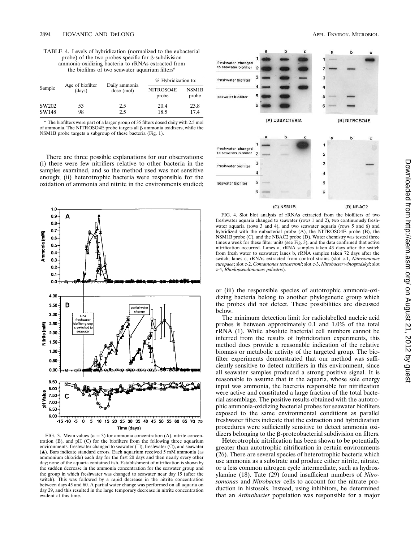TABLE 4. Levels of hybridization (normalized to the eubacterial probe) of the two probes specific for  $\beta$ -subdivision ammonia-oxidizing bacteria to rRNAs extracted from the biofilms of two seawater aquarium filters*<sup>a</sup>*

|        | Age of biofilter |                             | % Hybridization to: |                             |  |
|--------|------------------|-----------------------------|---------------------|-----------------------------|--|
| Sample | (days)           | Daily ammonia<br>dose (mol) | NITROSO4E<br>probe  | NSM <sub>1</sub> B<br>probe |  |
| SW202  | 53               | 2.5                         | 20.4                | 23.8                        |  |
| SW148  | 98               | 2.5                         | 18.5                | 17.4                        |  |

*<sup>a</sup>* The biofilters were part of a larger group of 35 filters dosed daily with 2.5 mol of ammonia. The NITROSO4E probe targets all b ammonia oxidizers, while the NSM1B probe targets a subgroup of these bacteria (Fig. 1).

There are three possible explanations for our observations: (i) there were few nitrifiers relative to other bacteria in the samples examined, and so the method used was not sensitive enough; (ii) heterotrophic bacteria were responsible for the oxidation of ammonia and nitrite in the environments studied;



FIG. 3. Mean values  $(n = 3)$  for ammonia concentration  $(A)$ , nitrite concentration (B), and pH (C) for the biofilters from the following three aquarium environments: freshwater changed to seawater  $(\square)$ , freshwater  $(\square)$ , and seawater (å). Bars indicate standard errors. Each aquarium received 5 mM ammonia (as ammonium chloride) each day for the first 20 days and then nearly every other day; none of the aquaria contained fish. Establishment of nitrification is shown by the sudden decrease in the ammonia concentration for the seawater group and the group in which freshwater was changed to seawater near day 15 (after the switch). This was followed by a rapid decrease in the nitrite concentration between days 45 and 60. A partial water change was performed on all aquaria on day 29, and this resulted in the large temporary decrease in nitrite concentration evident at this time.



FIG. 4. Slot blot analysis of rRNAs extracted from the biofilters of two freshwater aquaria changed to seawater (rows 1 and 2), two continuously freshwater aquaria (rows 3 and 4), and two seawater aquaria (rows 5 and 6) and hybridized with the eubacterial probe  $(A)$ , the NITROSO4E probe  $(B)$ , the  $NSM1B$  probe (C), and the NBAC2 probe (D). Water chemistry was tested three times a week for these filter units (see Fig. 3), and the data confirmed that active nitrification occurred. Lanes a, rRNA samples taken 43 days after the switch from fresh water to seawater; lanes b, rRNA samples taken 72 days after the switch; lanes c, rRNAs extracted from control strains (slot c-1, *Nitrosomonas europaea*; slot c-2, *Comamonas testosteroni*; slot c-3, *Nitrobacter winogradskyi*; slot c-4, *Rhodopseudomonas palustris*).

or (iii) the responsible species of autotrophic ammonia-oxidizing bacteria belong to another phylogenetic group which the probes did not detect. These possibilities are discussed below.

The minimum detection limit for radiolabelled nucleic acid probes is between approximately 0.1 and 1.0% of the total rRNA (1). While absolute bacterial cell numbers cannot be inferred from the results of hybridization experiments, this method does provide a reasonable indication of the relative biomass or metabolic activity of the targeted group. The biofilter experiments demonstrated that our method was sufficiently sensitive to detect nitrifiers in this environment, since all seawater samples produced a strong positive signal. It is reasonable to assume that in the aquaria, whose sole energy input was ammonia, the bacteria responsible for nitrification were active and constituted a large fraction of the total bacterial assemblage. The positive results obtained with the autotrophic ammonia-oxidizing bacterial probes for seawater biofilters exposed to the same environmental conditions as parallel freshwater filters indicate that the extraction and hybridization procedures were sufficiently sensitive to detect ammonia oxidizers belonging to the  $\beta$ -proteobacterial subdivision on filters.

Heterotrophic nitrification has been shown to be potentially greater than autotrophic nitrification in certain environments (26). There are several species of heterotrophic bacteria which use ammonia as a substrate and produce either nitrite, nitrate, or a less common nitrogen cycle intermediate, such as hydroxylamine (18). Tate (29) found insufficient numbers of *Nitrosomonas* and *Nitrobacter* cells to account for the nitrate production in histosols. Instead, using inhibitors, he determined that an *Arthrobacter* population was responsible for a major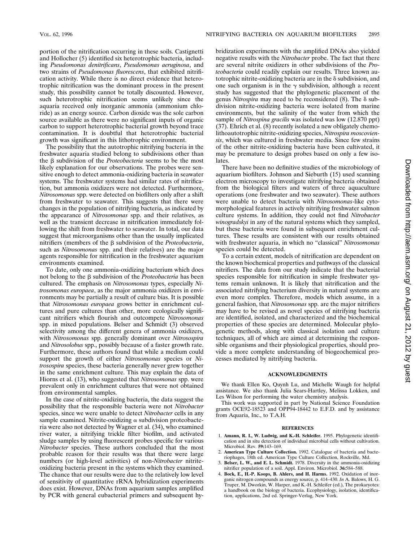portion of the nitrification occurring in these soils. Castignetti and Hollocher (5) identified six heterotrophic bacteria, including *Pseudomonas denitrificans*, *Pseudomonas aeruginosa*, and two strains of *Pseudomonas fluorescens*, that exhibited nitrification activity. While there is no direct evidence that heterotrophic nitrification was the dominant process in the present study, this possibility cannot be totally discounted. However, such heterotrophic nitrification seems unlikely since the aquaria received only inorganic ammonia (ammonium chloride) as an energy source. Carbon dioxide was the sole carbon source available as there were no significant inputs of organic carbon to support heterotrophic bacterial growth beyond trace contamination. It is doubtful that heterotrophic bacterial growth was significant in this lithotrophic environment.

The possibility that the autotrophic nitrifying bacteria in the freshwater aquaria studied belong to subdivisions other than the β subdivision of the *Proteobacteria* seems to be the most likely explanation for our observations. The probes were sensitive enough to detect ammonia-oxidizing bacteria in seawater systems. The freshwater systems had similar rates of nitrification, but ammonia oxidizers were not detected. Furthermore, *Nitrosomonas* spp. were detected on biofilters only after a shift from freshwater to seawater. This suggests that there were changes in the population of nitrifying bacteria, as indicated by the appearance of *Nitrosomonas* spp. and their relatives, as well as the transient decrease in nitrification immediately following the shift from freshwater to seawater. In total, our data suggest that microorganisms other than the usually implicated nitrifiers (members of the  $\beta$  subdivision of the *Proteobacteria*, such as *Nitrosomonas* spp. and their relatives) are the major agents responsible for nitrification in the freshwater aquarium environments examined.

To date, only one ammonia-oxidizing bacterium which does not belong to the  $\beta$  subdivision of the *Proteobacteria* has been cultured. The emphasis on *Nitrosomonas* types, especially *Nitrosomonas europaea*, as the major ammonia oxidizers in environments may be partially a result of culture bias. It is possible that *Nitrosomonas europaea* grows better in enrichment cultures and pure cultures than other, more ecologically significant nitrifiers which flourish and outcompete *Nitrosomonas* spp. in mixed populations. Belser and Schmidt (3) observed selectivity among the different genera of ammonia oxidizers, with *Nitrosomonas* spp. generally dominant over *Nitrosospira* and *Nitrosolobus* spp., possibly because of a faster growth rate. Furthermore, these authors found that while a medium could support the growth of either *Nitrosomonas* species or *Nitrosospira* species, these bacteria generally never grew together in the same enrichment culture. This may explain the data of Hiorns et al. (13), who suggested that *Nitrosomonas* spp. were prevalent only in enrichment cultures that were not obtained from environmental samples.

In the case of nitrite-oxidizing bacteria, the data suggest the possibility that the responsible bacteria were not *Nitrobacter* species, since we were unable to detect *Nitrobacter* cells in any sample examined. Nitrite-oxidizing  $\alpha$  subdivision proteobacteria were also not detected by Wagner et al. (34), who examined river water, a nitrifying trickle filter biofilm, and activated sludge samples by using fluorescent probes specific for various *Nitrobacter* species. These authors concluded that the most probable reason for their results was that there were large numbers (or high-level activities) of non-*Nitrobacter* nitriteoxidizing bacteria present in the systems which they examined. The chance that our results were due to the relatively low level of sensitivity of quantitative rRNA hybridization experiments does exist. However, DNAs from aquarium samples amplified by PCR with general eubacterial primers and subsequent hybridization experiments with the amplified DNAs also yielded negative results with the *Nitrobacter* probe. The fact that there are several nitrite oxidizers in other subdivisions of the *Proteobacteria* could readily explain our results. Three known autotrophic nitrite-oxidizing bacteria are in the  $\delta$  subdivision, and one such organism is in the  $\gamma$  subdivision, although a recent study has suggested that the phylogenetic placement of the genus *Nitrospira* may need to be reconsidered  $(8)$ . The  $\delta$  subdivision nitrite-oxidizing bacteria were isolated from marine environments, but the salinity of the water from which the sample of *Nitrospina gracilis* was isolated was low (12.870 ppt) (37). Ehrich et al. (8) recently isolated a new obligately chemolithoautotrophic nitrite-oxidizing species, *Nitrospira moscoviensis*, which was cultured in freshwater media. Since few strains of the other nitrite-oxidizing bacteria have been cultivated, it may be premature to design probes based on only a few isolates.

There have been no definitive studies of the microbiology of aquarium biofilters. Johnson and Sieburth (15) used scanning electron microscopy to investigate nitrifying bacteria obtained from the biological filters and waters of three aquaculture operations (one freshwater and two seawater). These authors were unable to detect bacteria with *Nitrosomonas*-like cytomorphological features in actively nitrifying freshwater salmon culture systems. In addition, they could not find *Nitrobacter winogradskyi* in any of the natural systems which they sampled, but these bacteria were found in subsequent enrichment cultures. These results are consistent with our results obtained with freshwater aquaria, in which no "classical" *Nitrosomonas* species could be detected.

To a certain extent, models of nitrification are dependent on the known biochemical properties and pathways of the classical nitrifiers. The data from our study indicate that the bacterial species responsible for nitrification in simple freshwater systems remain unknown. It is likely that nitrification and the associated nitrifying bacterium diversity in natural systems are even more complex. Therefore, models which assume, in a general fashion, that *Nitrosomonas* spp. are the major nitrifiers may have to be revised as novel species of nitrifying bacteria are identified, isolated, and characterized and the biochemical properties of these species are determined. Molecular phylogenetic methods, along with classical isolation and culture techniques, all of which are aimed at determining the responsible organisms and their physiological properties, should provide a more complete understanding of biogeochemical processes mediated by nitrifying bacteria.

#### **ACKNOWLEDGMENTS**

We thank Ellen Ko, Quynh Lu, and Michelle Waugh for helpful assistance. We also thank Julia Sears-Hartley, Melissa Lokken, and Les Wilson for performing the water chemistry analysis.

This work was supported in part by National Science Foundation grants OCE92-18523 and OPP94-18442 to E.F.D. and by assistance from Aquaria, Inc., to T.A.H.

### **REFERENCES**

- 1. **Amann, R. I., W. Ludwig, and K.-H. Schleifer.** 1995. Phylogenetic identification and in situ detection of individual microbial cells without cultivation. Microbiol. Rev. **59:**143–169.
- 2. **American Type Culture Collection.** 1992. Catalogue of bacteria and bacte-
- riophages, 18th ed. American Type Culture Collection, Rockville, Md. 3. **Belser, L. W., and E. L. Schmidt.** 1978. Diversity in the ammonia-oxidizing nitrifier population of a soil. Appl. Environ. Microbiol. **36:**584–588.
- 4. **Bock, E., H.-P. Koops, B. Ahlers, and H. Harms.** 1992. Oxidation of inorganic nitrogen compounds as energy source, p. 414–430. *In* A. Balows, H. G. Truper, M. Dworkin, W. Harper, and K.-H. Schleifer (ed.), The prokaryotes: a handbook on the biology of bacteria. Ecophysiology, isolation, identification, applications, 2nd ed. Springer-Verlag, New York.